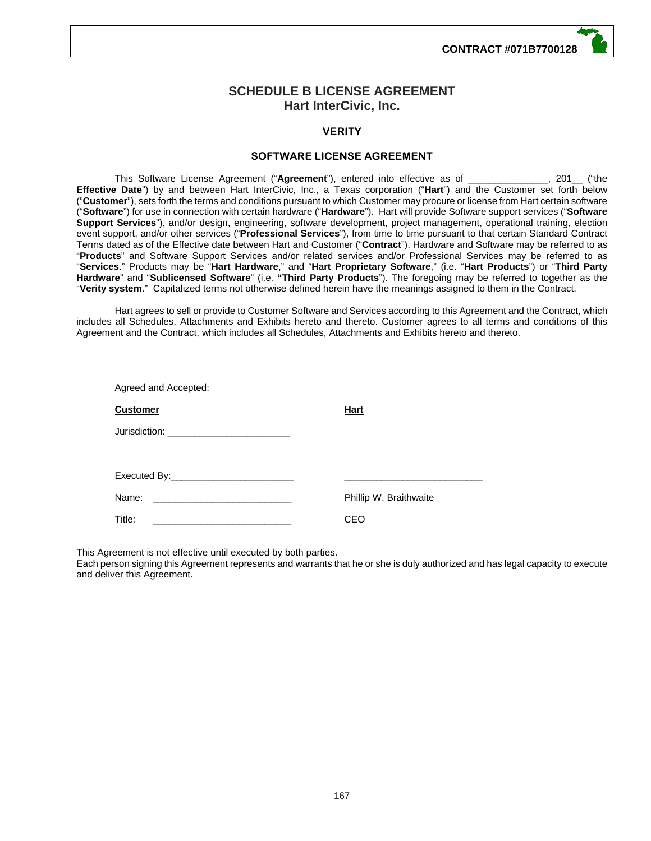# **SCHEDULE B LICENSE AGREEMENT Hart InterCivic, Inc.**

# **VERITY**

## **SOFTWARE LICENSE AGREEMENT**

This Software License Agreement ("**Agreement**"), entered into effective as of \_\_\_\_\_\_\_\_\_\_\_\_\_\_\_, 201\_\_ ("the **Effective Date**") by and between Hart InterCivic, Inc., a Texas corporation ("**Hart**") and the Customer set forth below ("**Customer**"), sets forth the terms and conditions pursuant to which Customer may procure or license from Hart certain software ("**Software**") for use in connection with certain hardware ("**Hardware**"). Hart will provide Software support services ("**Software Support Services**"), and/or design, engineering, software development, project management, operational training, election event support, and/or other services ("**Professional Services**"), from time to time pursuant to that certain Standard Contract Terms dated as of the Effective date between Hart and Customer ("**Contract**"). Hardware and Software may be referred to as "**Products**" and Software Support Services and/or related services and/or Professional Services may be referred to as "**Services**." Products may be "**Hart Hardware**," and "**Hart Proprietary Software**," (i.e. "**Hart Products**") or "**Third Party Hardware**" and "**Sublicensed Software**" (i.e. **"Third Party Products**"). The foregoing may be referred to together as the "**Verity system**." Capitalized terms not otherwise defined herein have the meanings assigned to them in the Contract.

Hart agrees to sell or provide to Customer Software and Services according to this Agreement and the Contract, which includes all Schedules, Attachments and Exhibits hereto and thereto. Customer agrees to all terms and conditions of this Agreement and the Contract, which includes all Schedules, Attachments and Exhibits hereto and thereto.

| Agreed and Accepted:                     |                        |
|------------------------------------------|------------------------|
| <b>Customer</b>                          | Hart                   |
| Jurisdiction: __________________________ |                        |
|                                          |                        |
|                                          |                        |
|                                          | Phillip W. Braithwaite |
| Title:                                   | CEO                    |

This Agreement is not effective until executed by both parties.

Each person signing this Agreement represents and warrants that he or she is duly authorized and has legal capacity to execute and deliver this Agreement.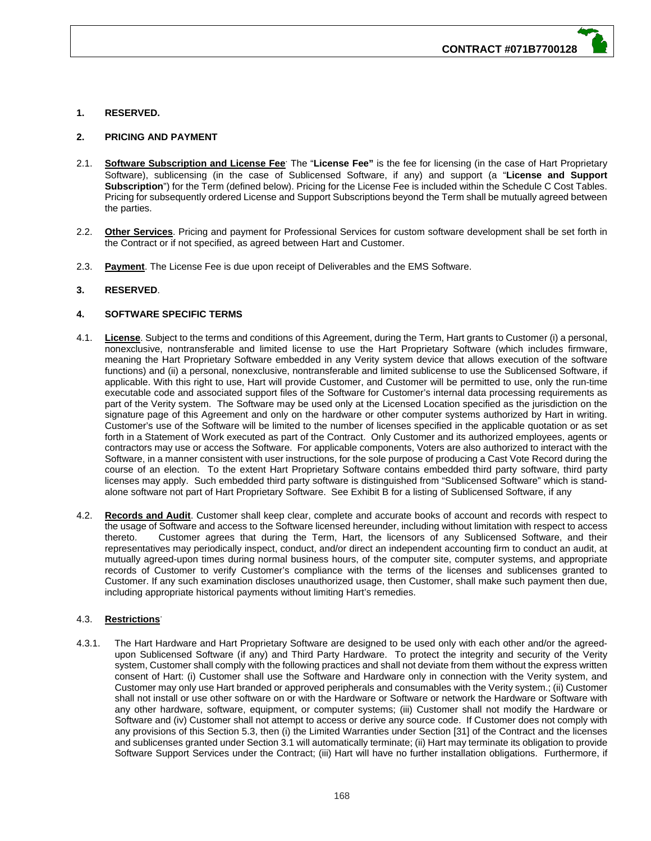## **1. RESERVED.**

## **2. PRICING AND PAYMENT**

- 2.1. **Software Subscription and License Fee**<sup>-</sup> The "License Fee" is the fee for licensing (in the case of Hart Proprietary Software), sublicensing (in the case of Sublicensed Software, if any) and support (a "**License and Support Subscription**") for the Term (defined below). Pricing for the License Fee is included within the Schedule C Cost Tables. Pricing for subsequently ordered License and Support Subscriptions beyond the Term shall be mutually agreed between the parties.
- 2.2. **Other Services**. Pricing and payment for Professional Services for custom software development shall be set forth in the Contract or if not specified, as agreed between Hart and Customer.
- 2.3. **Payment**. The License Fee is due upon receipt of Deliverables and the EMS Software.

## **3. RESERVED**.

## **4. SOFTWARE SPECIFIC TERMS**

- 4.1. **License**. Subject to the terms and conditions of this Agreement, during the Term, Hart grants to Customer (i) a personal, nonexclusive, nontransferable and limited license to use the Hart Proprietary Software (which includes firmware, meaning the Hart Proprietary Software embedded in any Verity system device that allows execution of the software functions) and (ii) a personal, nonexclusive, nontransferable and limited sublicense to use the Sublicensed Software, if applicable. With this right to use, Hart will provide Customer, and Customer will be permitted to use, only the run-time executable code and associated support files of the Software for Customer's internal data processing requirements as part of the Verity system. The Software may be used only at the Licensed Location specified as the jurisdiction on the signature page of this Agreement and only on the hardware or other computer systems authorized by Hart in writing. Customer's use of the Software will be limited to the number of licenses specified in the applicable quotation or as set forth in a Statement of Work executed as part of the Contract. Only Customer and its authorized employees, agents or contractors may use or access the Software. For applicable components, Voters are also authorized to interact with the Software, in a manner consistent with user instructions, for the sole purpose of producing a Cast Vote Record during the course of an election. To the extent Hart Proprietary Software contains embedded third party software, third party licenses may apply. Such embedded third party software is distinguished from "Sublicensed Software" which is standalone software not part of Hart Proprietary Software. See Exhibit B for a listing of Sublicensed Software, if any
- 4.2. **Records and Audit**. Customer shall keep clear, complete and accurate books of account and records with respect to the usage of Software and access to the Software licensed hereunder, including without limitation with respect to access thereto. Customer agrees that during the Term, Hart, the licensors of any Sublicensed Software, and their representatives may periodically inspect, conduct, and/or direct an independent accounting firm to conduct an audit, at mutually agreed-upon times during normal business hours, of the computer site, computer systems, and appropriate records of Customer to verify Customer's compliance with the terms of the licenses and sublicenses granted to Customer. If any such examination discloses unauthorized usage, then Customer, shall make such payment then due, including appropriate historical payments without limiting Hart's remedies.

## 4.3. **Restrictions**.

4.3.1. The Hart Hardware and Hart Proprietary Software are designed to be used only with each other and/or the agreedupon Sublicensed Software (if any) and Third Party Hardware. To protect the integrity and security of the Verity system, Customer shall comply with the following practices and shall not deviate from them without the express written consent of Hart: (i) Customer shall use the Software and Hardware only in connection with the Verity system, and Customer may only use Hart branded or approved peripherals and consumables with the Verity system.; (ii) Customer shall not install or use other software on or with the Hardware or Software or network the Hardware or Software with any other hardware, software, equipment, or computer systems; (iii) Customer shall not modify the Hardware or Software and (iv) Customer shall not attempt to access or derive any source code. If Customer does not comply with any provisions of this Section 5.3, then (i) the Limited Warranties under Section [31] of the Contract and the licenses and sublicenses granted under Section 3.1 will automatically terminate; (ii) Hart may terminate its obligation to provide Software Support Services under the Contract; (iii) Hart will have no further installation obligations. Furthermore, if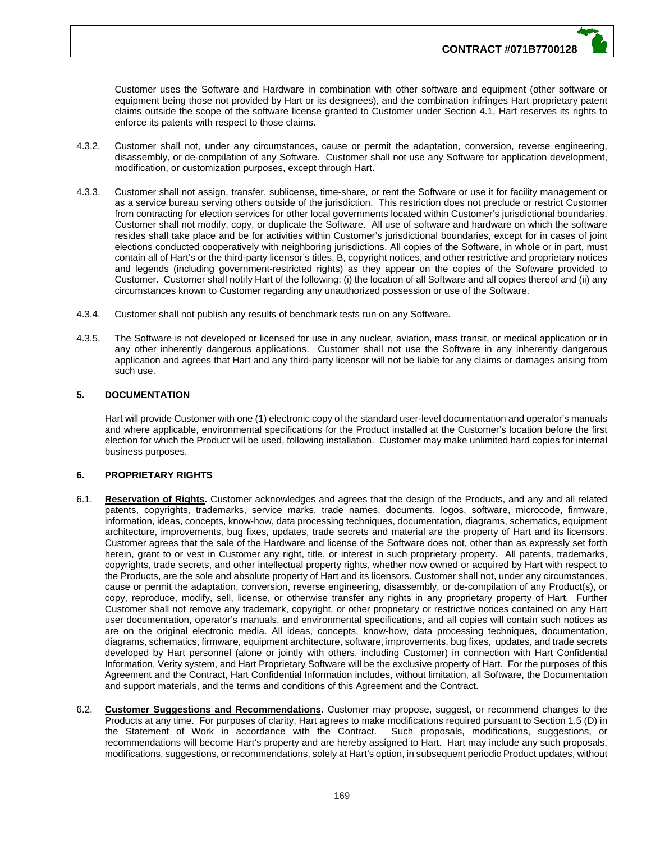Customer uses the Software and Hardware in combination with other software and equipment (other software or equipment being those not provided by Hart or its designees), and the combination infringes Hart proprietary patent claims outside the scope of the software license granted to Customer under Section 4.1, Hart reserves its rights to enforce its patents with respect to those claims.

- 4.3.2. Customer shall not, under any circumstances, cause or permit the adaptation, conversion, reverse engineering, disassembly, or de-compilation of any Software. Customer shall not use any Software for application development, modification, or customization purposes, except through Hart.
- 4.3.3. Customer shall not assign, transfer, sublicense, time-share, or rent the Software or use it for facility management or as a service bureau serving others outside of the jurisdiction. This restriction does not preclude or restrict Customer from contracting for election services for other local governments located within Customer's jurisdictional boundaries. Customer shall not modify, copy, or duplicate the Software. All use of software and hardware on which the software resides shall take place and be for activities within Customer's jurisdictional boundaries, except for in cases of joint elections conducted cooperatively with neighboring jurisdictions. All copies of the Software, in whole or in part, must contain all of Hart's or the third-party licensor's titles, B, copyright notices, and other restrictive and proprietary notices and legends (including government-restricted rights) as they appear on the copies of the Software provided to Customer. Customer shall notify Hart of the following: (i) the location of all Software and all copies thereof and (ii) any circumstances known to Customer regarding any unauthorized possession or use of the Software.
- 4.3.4. Customer shall not publish any results of benchmark tests run on any Software.
- 4.3.5. The Software is not developed or licensed for use in any nuclear, aviation, mass transit, or medical application or in any other inherently dangerous applications. Customer shall not use the Software in any inherently dangerous application and agrees that Hart and any third-party licensor will not be liable for any claims or damages arising from such use.

## **5. DOCUMENTATION**

Hart will provide Customer with one (1) electronic copy of the standard user-level documentation and operator's manuals and where applicable, environmental specifications for the Product installed at the Customer's location before the first election for which the Product will be used, following installation. Customer may make unlimited hard copies for internal business purposes.

#### **6. PROPRIETARY RIGHTS**

- 6.1. **Reservation of Rights.** Customer acknowledges and agrees that the design of the Products, and any and all related patents, copyrights, trademarks, service marks, trade names, documents, logos, software, microcode, firmware, information, ideas, concepts, know-how, data processing techniques, documentation, diagrams, schematics, equipment architecture, improvements, bug fixes, updates, trade secrets and material are the property of Hart and its licensors. Customer agrees that the sale of the Hardware and license of the Software does not, other than as expressly set forth herein, grant to or vest in Customer any right, title, or interest in such proprietary property. All patents, trademarks, copyrights, trade secrets, and other intellectual property rights, whether now owned or acquired by Hart with respect to the Products, are the sole and absolute property of Hart and its licensors. Customer shall not, under any circumstances, cause or permit the adaptation, conversion, reverse engineering, disassembly, or de-compilation of any Product(s), or copy, reproduce, modify, sell, license, or otherwise transfer any rights in any proprietary property of Hart. Further Customer shall not remove any trademark, copyright, or other proprietary or restrictive notices contained on any Hart user documentation, operator's manuals, and environmental specifications, and all copies will contain such notices as are on the original electronic media. All ideas, concepts, know-how, data processing techniques, documentation, diagrams, schematics, firmware, equipment architecture, software, improvements, bug fixes, updates, and trade secrets developed by Hart personnel (alone or jointly with others, including Customer) in connection with Hart Confidential Information, Verity system, and Hart Proprietary Software will be the exclusive property of Hart. For the purposes of this Agreement and the Contract, Hart Confidential Information includes, without limitation, all Software, the Documentation and support materials, and the terms and conditions of this Agreement and the Contract.
- 6.2. **Customer Suggestions and Recommendations.** Customer may propose, suggest, or recommend changes to the Products at any time. For purposes of clarity, Hart agrees to make modifications required pursuant to Section 1.5 (D) in the Statement of Work in accordance with the Contract. Such proposals, modifications, suggestions, or recommendations will become Hart's property and are hereby assigned to Hart. Hart may include any such proposals, modifications, suggestions, or recommendations, solely at Hart's option, in subsequent periodic Product updates, without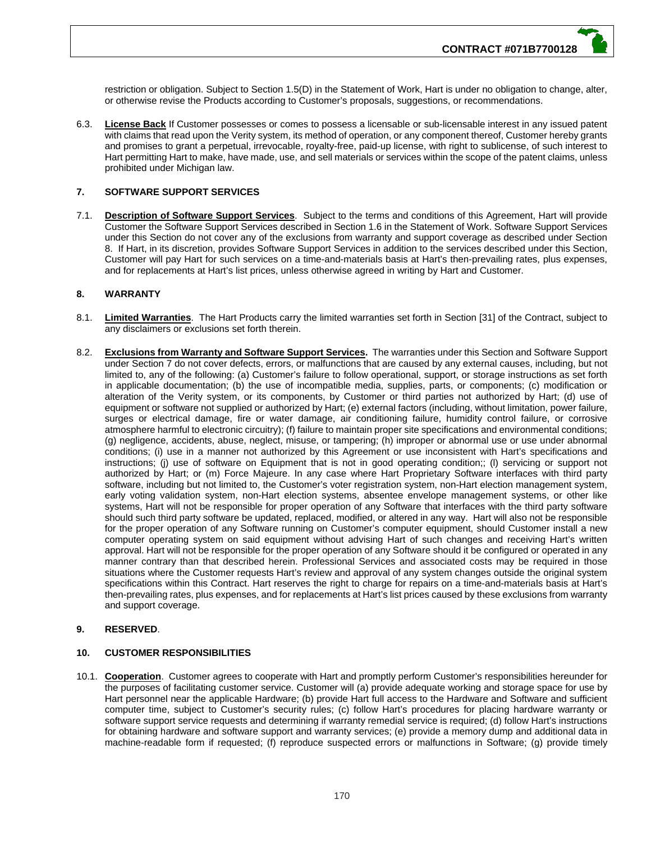restriction or obligation. Subject to Section 1.5(D) in the Statement of Work, Hart is under no obligation to change, alter, or otherwise revise the Products according to Customer's proposals, suggestions, or recommendations.

6.3. **License Back** If Customer possesses or comes to possess a licensable or sub-licensable interest in any issued patent with claims that read upon the Verity system, its method of operation, or any component thereof, Customer hereby grants and promises to grant a perpetual, irrevocable, royalty-free, paid-up license, with right to sublicense, of such interest to Hart permitting Hart to make, have made, use, and sell materials or services within the scope of the patent claims, unless prohibited under Michigan law.

## **7. SOFTWARE SUPPORT SERVICES**

7.1. **Description of Software Support Services**. Subject to the terms and conditions of this Agreement, Hart will provide Customer the Software Support Services described in Section 1.6 in the Statement of Work. Software Support Services under this Section do not cover any of the exclusions from warranty and support coverage as described under Section 8. If Hart, in its discretion, provides Software Support Services in addition to the services described under this Section, Customer will pay Hart for such services on a time-and-materials basis at Hart's then-prevailing rates, plus expenses, and for replacements at Hart's list prices, unless otherwise agreed in writing by Hart and Customer.

## **8. WARRANTY**

- 8.1. **Limited Warranties**. The Hart Products carry the limited warranties set forth in Section [31] of the Contract, subject to any disclaimers or exclusions set forth therein.
- 8.2. **Exclusions from Warranty and Software Support Services.** The warranties under this Section and Software Support under Section 7 do not cover defects, errors, or malfunctions that are caused by any external causes, including, but not limited to, any of the following: (a) Customer's failure to follow operational, support, or storage instructions as set forth in applicable documentation; (b) the use of incompatible media, supplies, parts, or components; (c) modification or alteration of the Verity system, or its components, by Customer or third parties not authorized by Hart; (d) use of equipment or software not supplied or authorized by Hart; (e) external factors (including, without limitation, power failure, surges or electrical damage, fire or water damage, air conditioning failure, humidity control failure, or corrosive atmosphere harmful to electronic circuitry); (f) failure to maintain proper site specifications and environmental conditions; (g) negligence, accidents, abuse, neglect, misuse, or tampering; (h) improper or abnormal use or use under abnormal conditions; (i) use in a manner not authorized by this Agreement or use inconsistent with Hart's specifications and instructions; (j) use of software on Equipment that is not in good operating condition;; (l) servicing or support not authorized by Hart; or (m) Force Majeure. In any case where Hart Proprietary Software interfaces with third party software, including but not limited to, the Customer's voter registration system, non-Hart election management system, early voting validation system, non-Hart election systems, absentee envelope management systems, or other like systems, Hart will not be responsible for proper operation of any Software that interfaces with the third party software should such third party software be updated, replaced, modified, or altered in any way. Hart will also not be responsible for the proper operation of any Software running on Customer's computer equipment, should Customer install a new computer operating system on said equipment without advising Hart of such changes and receiving Hart's written approval. Hart will not be responsible for the proper operation of any Software should it be configured or operated in any manner contrary than that described herein. Professional Services and associated costs may be required in those situations where the Customer requests Hart's review and approval of any system changes outside the original system specifications within this Contract. Hart reserves the right to charge for repairs on a time-and-materials basis at Hart's then-prevailing rates, plus expenses, and for replacements at Hart's list prices caused by these exclusions from warranty and support coverage.

## **9. RESERVED**.

## **10. CUSTOMER RESPONSIBILITIES**

10.1. **Cooperation**. Customer agrees to cooperate with Hart and promptly perform Customer's responsibilities hereunder for the purposes of facilitating customer service. Customer will (a) provide adequate working and storage space for use by Hart personnel near the applicable Hardware; (b) provide Hart full access to the Hardware and Software and sufficient computer time, subject to Customer's security rules; (c) follow Hart's procedures for placing hardware warranty or software support service requests and determining if warranty remedial service is required; (d) follow Hart's instructions for obtaining hardware and software support and warranty services; (e) provide a memory dump and additional data in machine-readable form if requested; (f) reproduce suspected errors or malfunctions in Software; (g) provide timely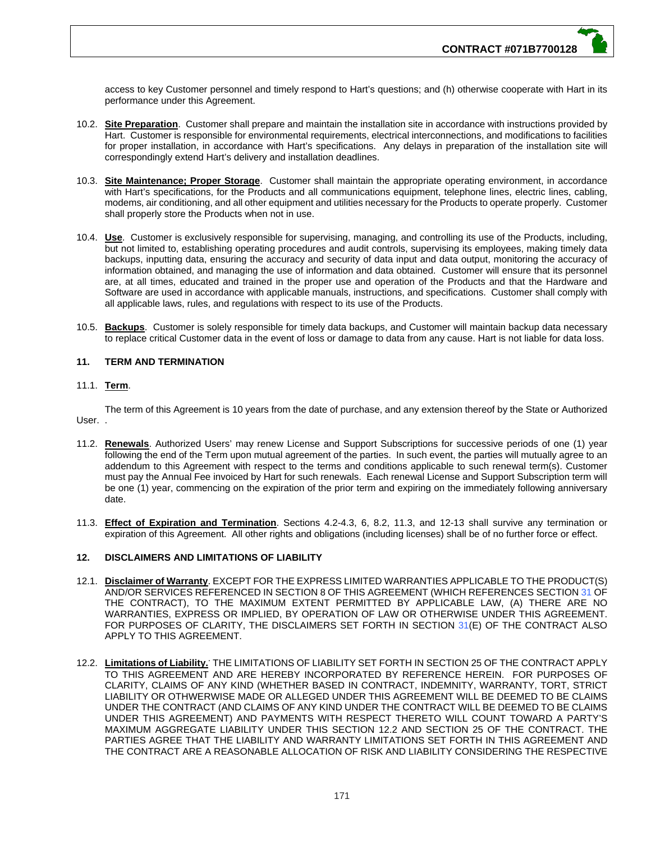access to key Customer personnel and timely respond to Hart's questions; and (h) otherwise cooperate with Hart in its performance under this Agreement.

- 10.2. **Site Preparation**. Customer shall prepare and maintain the installation site in accordance with instructions provided by Hart. Customer is responsible for environmental requirements, electrical interconnections, and modifications to facilities for proper installation, in accordance with Hart's specifications. Any delays in preparation of the installation site will correspondingly extend Hart's delivery and installation deadlines.
- 10.3. **Site Maintenance; Proper Storage**. Customer shall maintain the appropriate operating environment, in accordance with Hart's specifications, for the Products and all communications equipment, telephone lines, electric lines, cabling, modems, air conditioning, and all other equipment and utilities necessary for the Products to operate properly. Customer shall properly store the Products when not in use.
- 10.4. **Use**. Customer is exclusively responsible for supervising, managing, and controlling its use of the Products, including, but not limited to, establishing operating procedures and audit controls, supervising its employees, making timely data backups, inputting data, ensuring the accuracy and security of data input and data output, monitoring the accuracy of information obtained, and managing the use of information and data obtained. Customer will ensure that its personnel are, at all times, educated and trained in the proper use and operation of the Products and that the Hardware and Software are used in accordance with applicable manuals, instructions, and specifications. Customer shall comply with all applicable laws, rules, and regulations with respect to its use of the Products.
- 10.5. **Backups**. Customer is solely responsible for timely data backups, and Customer will maintain backup data necessary to replace critical Customer data in the event of loss or damage to data from any cause. Hart is not liable for data loss.

## **11. TERM AND TERMINATION**

## 11.1. **Term**.

The term of this Agreement is 10 years from the date of purchase, and any extension thereof by the State or Authorized User. .

- 11.2. **Renewals**. Authorized Users' may renew License and Support Subscriptions for successive periods of one (1) year following the end of the Term upon mutual agreement of the parties. In such event, the parties will mutually agree to an addendum to this Agreement with respect to the terms and conditions applicable to such renewal term(s). Customer must pay the Annual Fee invoiced by Hart for such renewals. Each renewal License and Support Subscription term will be one (1) year, commencing on the expiration of the prior term and expiring on the immediately following anniversary date.
- 11.3. **Effect of Expiration and Termination**. Sections 4.2-4.3, 6, 8.2, 11.3, and 12-13 shall survive any termination or expiration of this Agreement. All other rights and obligations (including licenses) shall be of no further force or effect.

## **12. DISCLAIMERS AND LIMITATIONS OF LIABILITY**

- 12.1. **Disclaimer of Warranty**. EXCEPT FOR THE EXPRESS LIMITED WARRANTIES APPLICABLE TO THE PRODUCT(S) AND/OR SERVICES REFERENCED IN SECTION 8 OF THIS AGREEMENT (WHICH REFERENCES SECTION 31 OF THE CONTRACT), TO THE MAXIMUM EXTENT PERMITTED BY APPLICABLE LAW, (A) THERE ARE NO WARRANTIES, EXPRESS OR IMPLIED, BY OPERATION OF LAW OR OTHERWISE UNDER THIS AGREEMENT. FOR PURPOSES OF CLARITY, THE DISCLAIMERS SET FORTH IN SECTION 31(E) OF THE CONTRACT ALSO APPLY TO THIS AGREEMENT.
- 12.2. Limitations of Liability. THE LIMITATIONS OF LIABILITY SET FORTH IN SECTION 25 OF THE CONTRACT APPLY TO THIS AGREEMENT AND ARE HEREBY INCORPORATED BY REFERENCE HEREIN. FOR PURPOSES OF CLARITY, CLAIMS OF ANY KIND (WHETHER BASED IN CONTRACT, INDEMNITY, WARRANTY, TORT, STRICT LIABILITY OR OTHWERWISE MADE OR ALLEGED UNDER THIS AGREEMENT WILL BE DEEMED TO BE CLAIMS UNDER THE CONTRACT (AND CLAIMS OF ANY KIND UNDER THE CONTRACT WILL BE DEEMED TO BE CLAIMS UNDER THIS AGREEMENT) AND PAYMENTS WITH RESPECT THERETO WILL COUNT TOWARD A PARTY'S MAXIMUM AGGREGATE LIABILITY UNDER THIS SECTION 12.2 AND SECTION 25 OF THE CONTRACT. THE PARTIES AGREE THAT THE LIABILITY AND WARRANTY LIMITATIONS SET FORTH IN THIS AGREEMENT AND THE CONTRACT ARE A REASONABLE ALLOCATION OF RISK AND LIABILITY CONSIDERING THE RESPECTIVE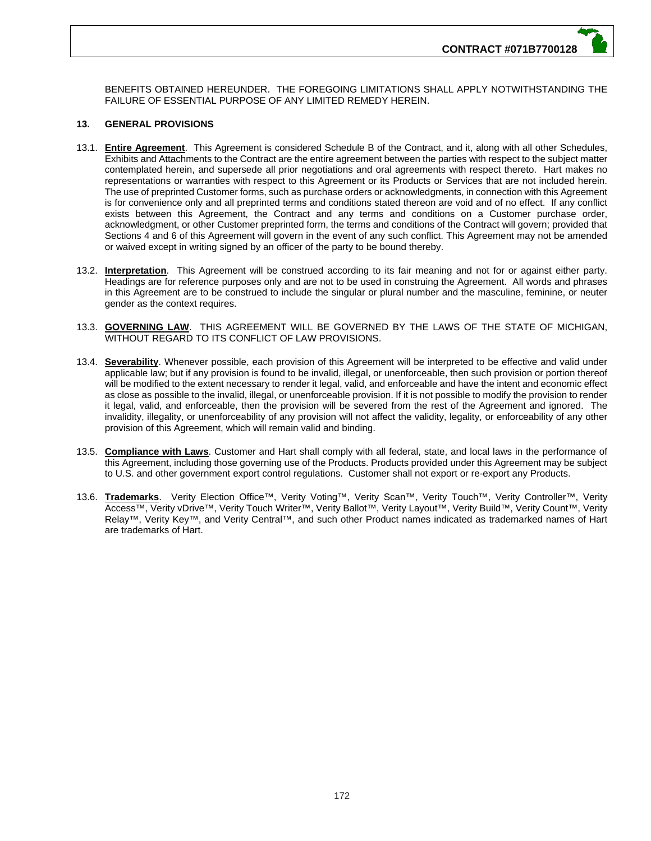BENEFITS OBTAINED HEREUNDER. THE FOREGOING LIMITATIONS SHALL APPLY NOTWITHSTANDING THE FAILURE OF ESSENTIAL PURPOSE OF ANY LIMITED REMEDY HEREIN.

## **13. GENERAL PROVISIONS**

- 13.1. **Entire Agreement**. This Agreement is considered Schedule B of the Contract, and it, along with all other Schedules, Exhibits and Attachments to the Contract are the entire agreement between the parties with respect to the subject matter contemplated herein, and supersede all prior negotiations and oral agreements with respect thereto. Hart makes no representations or warranties with respect to this Agreement or its Products or Services that are not included herein. The use of preprinted Customer forms, such as purchase orders or acknowledgments, in connection with this Agreement is for convenience only and all preprinted terms and conditions stated thereon are void and of no effect. If any conflict exists between this Agreement, the Contract and any terms and conditions on a Customer purchase order, acknowledgment, or other Customer preprinted form, the terms and conditions of the Contract will govern; provided that Sections 4 and 6 of this Agreement will govern in the event of any such conflict. This Agreement may not be amended or waived except in writing signed by an officer of the party to be bound thereby.
- 13.2. **Interpretation**. This Agreement will be construed according to its fair meaning and not for or against either party. Headings are for reference purposes only and are not to be used in construing the Agreement. All words and phrases in this Agreement are to be construed to include the singular or plural number and the masculine, feminine, or neuter gender as the context requires.
- 13.3. **GOVERNING LAW**. THIS AGREEMENT WILL BE GOVERNED BY THE LAWS OF THE STATE OF MICHIGAN, WITHOUT REGARD TO ITS CONFLICT OF LAW PROVISIONS.
- 13.4. **Severability**. Whenever possible, each provision of this Agreement will be interpreted to be effective and valid under applicable law; but if any provision is found to be invalid, illegal, or unenforceable, then such provision or portion thereof will be modified to the extent necessary to render it legal, valid, and enforceable and have the intent and economic effect as close as possible to the invalid, illegal, or unenforceable provision. If it is not possible to modify the provision to render it legal, valid, and enforceable, then the provision will be severed from the rest of the Agreement and ignored. The invalidity, illegality, or unenforceability of any provision will not affect the validity, legality, or enforceability of any other provision of this Agreement, which will remain valid and binding.
- 13.5. **Compliance with Laws**. Customer and Hart shall comply with all federal, state, and local laws in the performance of this Agreement, including those governing use of the Products. Products provided under this Agreement may be subject to U.S. and other government export control regulations. Customer shall not export or re-export any Products.
- 13.6. **Trademarks**. Verity Election Office™, Verity Voting™, Verity Scan™, Verity Touch™, Verity Controller™, Verity Access™, Verity vDrive™, Verity Touch Writer™, Verity Ballot™, Verity Layout™, Verity Build™, Verity Count™, Verity Relay™, Verity Key™, and Verity Central™, and such other Product names indicated as trademarked names of Hart are trademarks of Hart.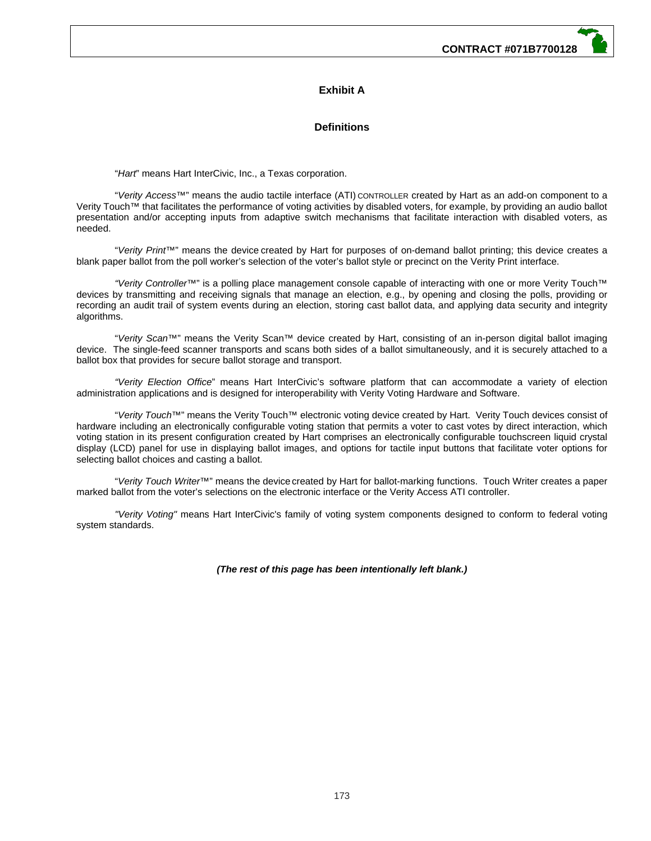# **Exhibit A**

## **Definitions**

"*Hart*" means Hart InterCivic, Inc., a Texas corporation.

 "*Verity Access™*" means the audio tactile interface (ATI) CONTROLLER created by Hart as an add-on component to a Verity Touch*™* that facilitates the performance of voting activities by disabled voters, for example, by providing an audio ballot presentation and/or accepting inputs from adaptive switch mechanisms that facilitate interaction with disabled voters, as .<br>needed.

"*Verity Print™*" means the device created by Hart for purposes of on-demand ballot printing; this device creates a blank paper ballot from the poll worker's selection of the voter's ballot style or precinct on the Verity Print interface.

*"Verity Controller*™" is a polling place management console capable of interacting with one or more Verity Touch™ devices by transmitting and receiving signals that manage an election, e.g., by opening and closing the polls, providing or recording an audit trail of system events during an election, storing cast ballot data, and applying data security and integrity algorithms.

"*Verity Scan™*" means the Verity Scan™ device created by Hart, consisting of an in-person digital ballot imaging device. The single-feed scanner transports and scans both sides of a ballot simultaneously, and it is securely attached to a ballot box that provides for secure ballot storage and transport.

*"Verity Election Office*" means Hart InterCivic's software platform that can accommodate a variety of election administration applications and is designed for interoperability with Verity Voting Hardware and Software.

"*Verity Touch™*" means the Verity Touch*™* electronic voting device created by Hart. Verity Touch devices consist of hardware including an electronically configurable voting station that permits a voter to cast votes by direct interaction, which voting station in its present configuration created by Hart comprises an electronically configurable touchscreen liquid crystal display (LCD) panel for use in displaying ballot images, and options for tactile input buttons that facilitate voter options for selecting ballot choices and casting a ballot.

"*Verity Touch Writer™*" means the device created by Hart for ballot-marking functions. Touch Writer creates a paper marked ballot from the voter's selections on the electronic interface or the Verity Access ATI controller.

*"Verity Voting"* means Hart InterCivic's family of voting system components designed to conform to federal voting system standards.

*(The rest of this page has been intentionally left blank.)*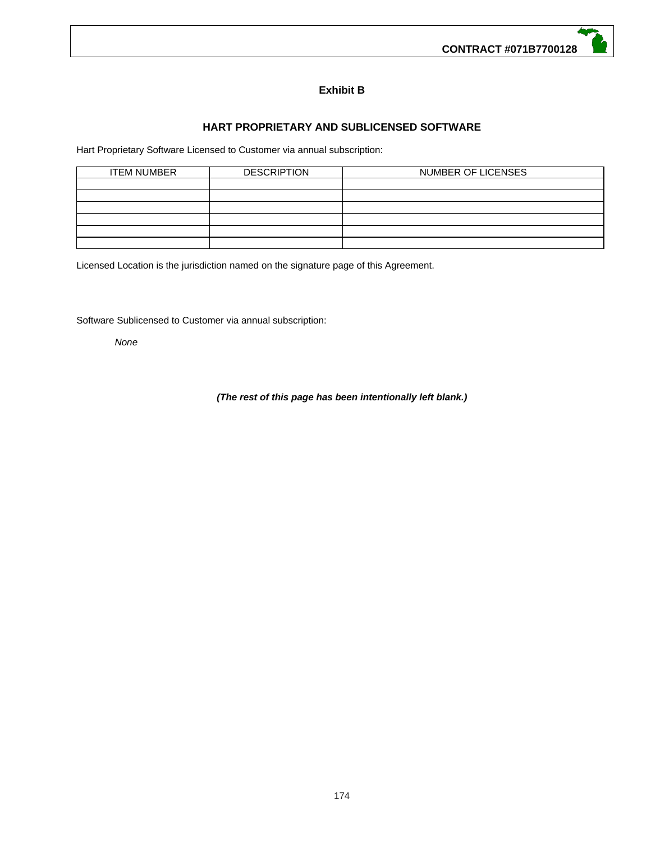# **Exhibit B**

# **HART PROPRIETARY AND SUBLICENSED SOFTWARE**

Hart Proprietary Software Licensed to Customer via annual subscription:

| <b>ITEM NUMBER</b> | <b>DESCRIPTION</b> | NUMBER OF LICENSES |  |  |
|--------------------|--------------------|--------------------|--|--|
|                    |                    |                    |  |  |
|                    |                    |                    |  |  |
|                    |                    |                    |  |  |
|                    |                    |                    |  |  |
|                    |                    |                    |  |  |
|                    |                    |                    |  |  |

Licensed Location is the jurisdiction named on the signature page of this Agreement.

Software Sublicensed to Customer via annual subscription:

*None* 

# *(The rest of this page has been intentionally left blank.)*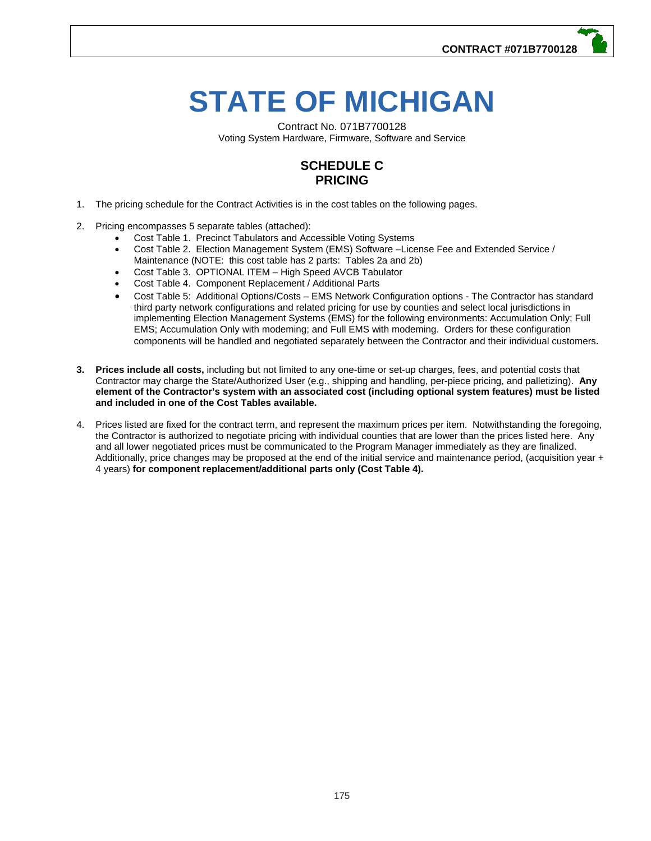# **STATE OF MICHIGAN**

Contract No. 071B7700128 Voting System Hardware, Firmware, Software and Service

# **SCHEDULE C PRICING**

- 1. The pricing schedule for the Contract Activities is in the cost tables on the following pages.
- 2. Pricing encompasses 5 separate tables (attached):
	- Cost Table 1. Precinct Tabulators and Accessible Voting Systems
	- Cost Table 2. Election Management System (EMS) Software –License Fee and Extended Service / Maintenance (NOTE: this cost table has 2 parts: Tables 2a and 2b)
	- Cost Table 3. OPTIONAL ITEM High Speed AVCB Tabulator
	- Cost Table 4. Component Replacement / Additional Parts
	- Cost Table 5: Additional Options/Costs EMS Network Configuration options The Contractor has standard third party network configurations and related pricing for use by counties and select local jurisdictions in implementing Election Management Systems (EMS) for the following environments: Accumulation Only; Full EMS; Accumulation Only with modeming; and Full EMS with modeming. Orders for these configuration components will be handled and negotiated separately between the Contractor and their individual customers.
- **3. Prices include all costs,** including but not limited to any one-time or set-up charges, fees, and potential costs that Contractor may charge the State/Authorized User (e.g., shipping and handling, per-piece pricing, and palletizing). **Any element of the Contractor's system with an associated cost (including optional system features) must be listed and included in one of the Cost Tables available.**
- 4. Prices listed are fixed for the contract term, and represent the maximum prices per item. Notwithstanding the foregoing, the Contractor is authorized to negotiate pricing with individual counties that are lower than the prices listed here. Any and all lower negotiated prices must be communicated to the Program Manager immediately as they are finalized. Additionally, price changes may be proposed at the end of the initial service and maintenance period, (acquisition year + 4 years) **for component replacement/additional parts only (Cost Table 4).**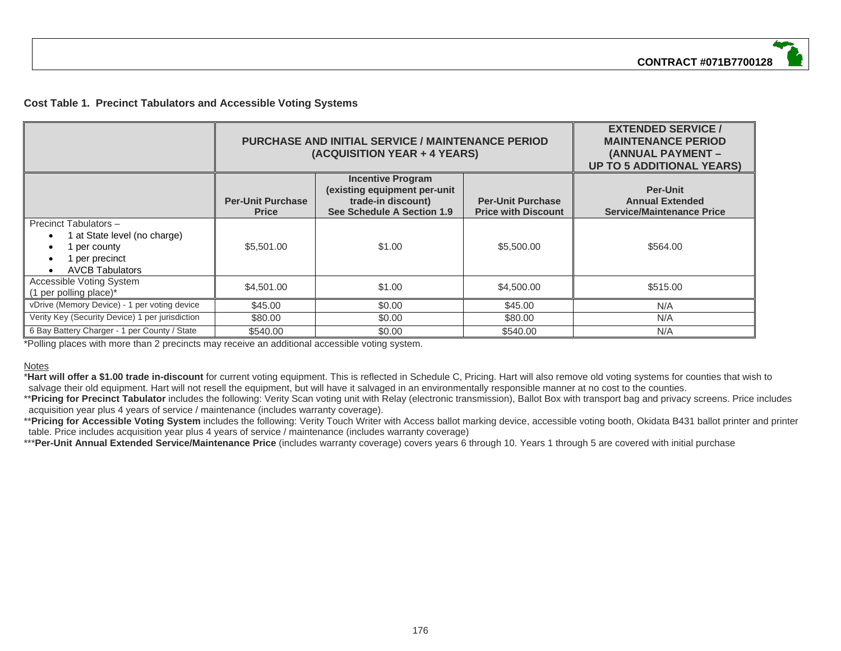## **Cost Table 1. Precinct Tabulators and Accessible Voting Systems**

|                                                                                                                   |                                          | <b>PURCHASE AND INITIAL SERVICE / MAINTENANCE PERIOD</b><br>(ACQUISITION YEAR + 4 YEARS)                     | <b>EXTENDED SERVICE /</b><br><b>MAINTENANCE PERIOD</b><br>(ANNUAL PAYMENT -<br><b>UP TO 5 ADDITIONAL YEARS)</b> |          |
|-------------------------------------------------------------------------------------------------------------------|------------------------------------------|--------------------------------------------------------------------------------------------------------------|-----------------------------------------------------------------------------------------------------------------|----------|
|                                                                                                                   | <b>Per-Unit Purchase</b><br><b>Price</b> | <b>Incentive Program</b><br>(existing equipment per-unit<br>trade-in discount)<br>See Schedule A Section 1.9 | <b>Per-Unit</b><br><b>Annual Extended</b><br><b>Service/Maintenance Price</b>                                   |          |
| Precinct Tabulators -<br>1 at State level (no charge)<br>1 per county<br>1 per precinct<br><b>AVCB Tabulators</b> | \$5,501.00                               | \$1.00                                                                                                       | \$5,500.00                                                                                                      | \$564.00 |
| Accessible Voting System<br>(1 per polling place)*                                                                | \$4,501.00                               | \$1.00                                                                                                       | \$4,500,00                                                                                                      | \$515.00 |
| vDrive (Memory Device) - 1 per voting device                                                                      | \$45.00                                  | \$0.00                                                                                                       | \$45.00                                                                                                         | N/A      |
| Verity Key (Security Device) 1 per jurisdiction                                                                   | \$80.00                                  | \$0.00                                                                                                       | \$80.00                                                                                                         | N/A      |
| 6 Bay Battery Charger - 1 per County / State                                                                      | \$540.00                                 | \$0.00                                                                                                       | \$540.00                                                                                                        | N/A      |

\*Polling places with more than 2 precincts may receive an additional accessible voting system.

#### **Notes**

\***Hart will offer a \$1.00 trade in-discount** for current voting equipment. This is reflected in Schedule C, Pricing. Hart will also remove old voting systems for counties that wish to salvage their old equipment. Hart will not resell the equipment, but will have it salvaged in an environmentally responsible manner at no cost to the counties.

\*\*Pricing for Precinct Tabulator includes the following: Verity Scan voting unit with Relay (electronic transmission), Ballot Box with transport bag and privacy screens. Price includes acquisition year plus 4 years of service / maintenance (includes warranty coverage).

\*\*Pricing for Accessible Voting System includes the following: Verity Touch Writer with Access ballot marking device, accessible voting booth, Okidata B431 ballot printer and printer table. Price includes acquisition year plus 4 years of service / maintenance (includes warranty coverage)

\*\*\***Per-Unit Annual Extended Service/Maintenance Price** (includes warranty coverage) covers years 6 through 10. Years 1 through 5 are covered with initial purchase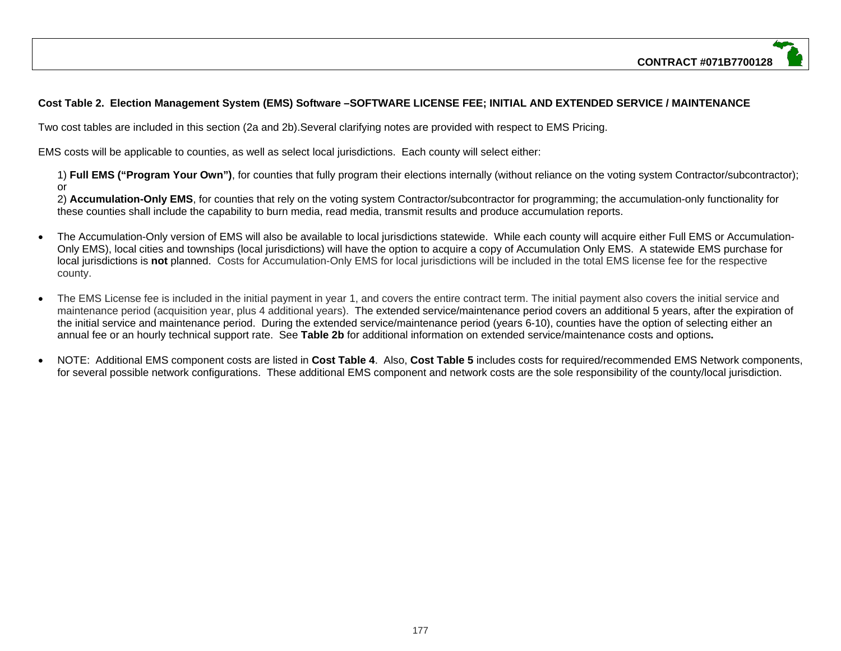# **Cost Table 2. Election Management System (EMS) Software –SOFTWARE LICENSE FEE; INITIAL AND EXTENDED SERVICE / MAINTENANCE**

Two cost tables are included in this section (2a and 2b).Several clarifying notes are provided with respect to EMS Pricing.

EMS costs will be applicable to counties, as well as select local jurisdictions. Each county will select either:

1) **Full EMS ("Program Your Own")**, for counties that fully program their elections internally (without reliance on the voting system Contractor/subcontractor); or

2) **Accumulation-Only EMS**, for counties that rely on the voting system Contractor/subcontractor for programming; the accumulation-only functionality for these counties shall include the capability to burn media, read media, transmit results and produce accumulation reports.

- The Accumulation-Only version of EMS will also be available to local jurisdictions statewide. While each county will acquire either Full EMS or Accumulation-Only EMS), local cities and townships (local jurisdictions) will have the option to acquire a copy of Accumulation Only EMS. A statewide EMS purchase for local jurisdictions is **not** planned. Costs for Accumulation-Only EMS for local jurisdictions will be included in the total EMS license fee for the respective county.
- $\bullet$  The EMS License fee is included in the initial payment in year 1, and covers the entire contract term. The initial payment also covers the initial service and maintenance period (acquisition year, plus 4 additional years). The extended service/maintenance period covers an additional 5 years, after the expiration of the initial service and maintenance period. During the extended service/maintenance period (years 6-10), counties have the option of selecting either an annual fee or an hourly technical support rate. See **Table 2b** for additional information on extended service/maintenance costs and options**.**
- NOTE: Additional EMS component costs are listed in **Cost Table 4**. Also, **Cost Table 5** includes costs for required/recommended EMS Network components, for several possible network configurations. These additional EMS component and network costs are the sole responsibility of the county/local jurisdiction.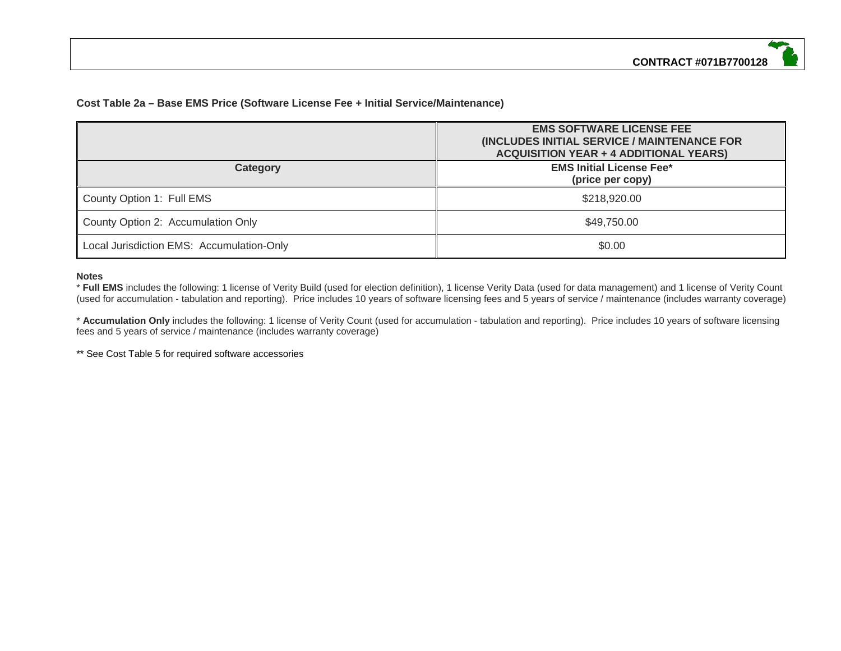# **Cost Table 2a – Base EMS Price (Software License Fee + Initial Service/Maintenance)**

|                                           | <b>EMS SOFTWARE LICENSE FEE</b><br>(INCLUDES INITIAL SERVICE / MAINTENANCE FOR<br><b>ACQUISITION YEAR + 4 ADDITIONAL YEARS)</b> |  |
|-------------------------------------------|---------------------------------------------------------------------------------------------------------------------------------|--|
| Category                                  | <b>EMS Initial License Fee*</b><br>(price per copy)                                                                             |  |
| County Option 1: Full EMS                 | \$218,920.00                                                                                                                    |  |
| County Option 2: Accumulation Only        | \$49,750.00                                                                                                                     |  |
| Local Jurisdiction EMS: Accumulation-Only | \$0.00                                                                                                                          |  |

## **Notes**

 \* **Full EMS** includes the following: 1 license of Verity Build (used for election definition), 1 license Verity Data (used for data management) and 1 license of Verity Count (used for accumulation - tabulation and reporting). Price includes 10 years of software licensing fees and 5 years of service / maintenance (includes warranty coverage)

\* **Accumulation Only** includes the following: 1 license of Verity Count (used for accumulation - tabulation and reporting). Price includes 10 years of software licensing fees and 5 years of service / maintenance (includes warranty coverage)

\*\* See Cost Table 5 for required software accessories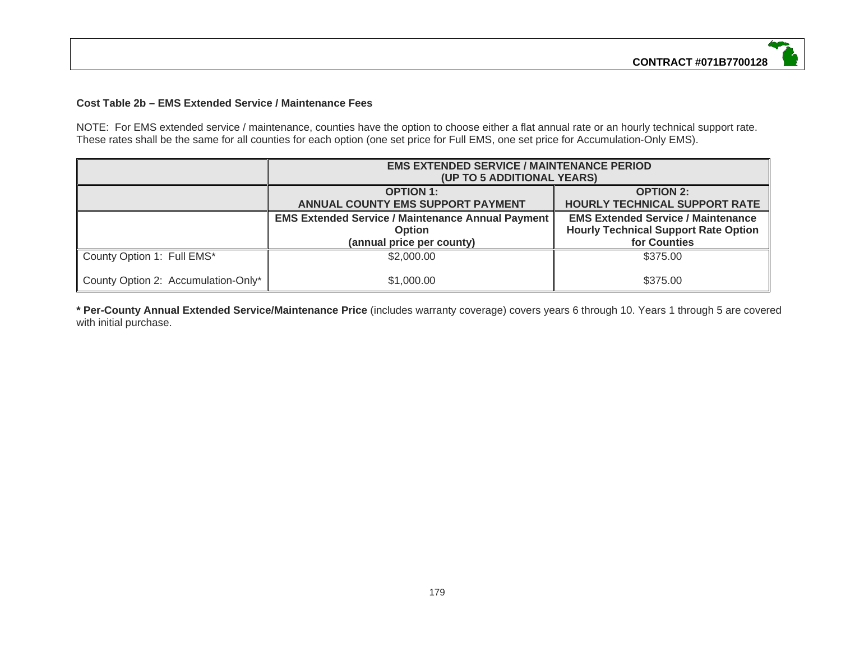## **Cost Table 2b – EMS Extended Service / Maintenance Fees**

NOTE: For EMS extended service / maintenance, counties have the option to choose either a flat annual rate or an hourly technical support rate. These rates shall be the same for all counties for each option (one set price for Full EMS, one set price for Accumulation-Only EMS).

|                                     | <b>EMS EXTENDED SERVICE / MAINTENANCE PERIOD</b><br>(UP TO 5 ADDITIONAL YEARS)                         |                                                                                                          |  |  |
|-------------------------------------|--------------------------------------------------------------------------------------------------------|----------------------------------------------------------------------------------------------------------|--|--|
|                                     | <b>OPTION 1:</b><br><b>ANNUAL COUNTY EMS SUPPORT PAYMENT</b>                                           | <b>OPTION 2:</b><br>HOURLY TECHNICAL SUPPORT RATE                                                        |  |  |
|                                     | <b>EMS Extended Service / Maintenance Annual Payment</b><br><b>Option</b><br>(annual price per county) | <b>EMS Extended Service / Maintenance</b><br><b>Hourly Technical Support Rate Option</b><br>for Counties |  |  |
| County Option 1: Full EMS*          | \$2,000.00                                                                                             | \$375.00                                                                                                 |  |  |
| County Option 2: Accumulation-Only* | \$1,000.00                                                                                             | \$375.00                                                                                                 |  |  |

**\* Per-County Annual Extended Service/Maintenance Price** (includes warranty coverage) covers years 6 through 10. Years 1 through 5 are covered with initial purchase.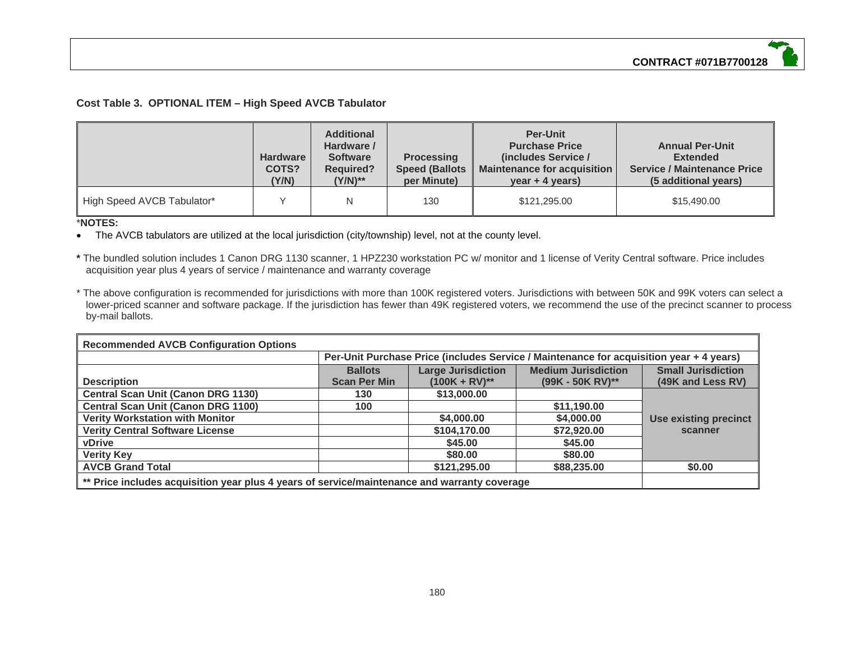## **Cost Table 3. OPTIONAL ITEM – High Speed AVCB Tabulator**

|                            | Hardware<br>COTS?<br>(Y/N) | <b>Additional</b><br>Hardware /<br><b>Software</b><br><b>Required?</b><br>(Y/N)** | <b>Processing</b><br><b>Speed (Ballots)</b><br>per Minute) | <b>Per-Unit</b><br><b>Purchase Price</b><br>(includes Service /<br><b>Maintenance for acquisition</b><br>$year + 4 years)$ | <b>Annual Per-Unit</b><br><b>Extended</b><br><b>Service / Maintenance Price</b><br>(5 additional years) |
|----------------------------|----------------------------|-----------------------------------------------------------------------------------|------------------------------------------------------------|----------------------------------------------------------------------------------------------------------------------------|---------------------------------------------------------------------------------------------------------|
| High Speed AVCB Tabulator* |                            | N                                                                                 | 130                                                        | \$121,295.00                                                                                                               | \$15,490.00                                                                                             |

## \***NOTES:**

The AVCB tabulators are utilized at the local jurisdiction (city/township) level, not at the county level.

**\*** The bundled solution includes 1 Canon DRG 1130 scanner, 1 HPZ230 workstation PC w/ monitor and 1 license of Verity Central software. Price includes acquisition year plus 4 years of service / maintenance and warranty coverage

\* The above configuration is recommended for jurisdictions with more than 100K registered voters. Jurisdictions with between 50K and 99K voters can select a lower-priced scanner and software package. If the jurisdiction has fewer than 49K registered voters, we recommend the use of the precinct scanner to process by-mail ballots.

| <b>Recommended AVCB Configuration Options</b>                                                |                                                                                         |                           |                            |                              |  |
|----------------------------------------------------------------------------------------------|-----------------------------------------------------------------------------------------|---------------------------|----------------------------|------------------------------|--|
|                                                                                              | Per-Unit Purchase Price (includes Service / Maintenance for acquisition year + 4 years) |                           |                            |                              |  |
|                                                                                              | <b>Ballots</b>                                                                          | <b>Large Jurisdiction</b> | <b>Medium Jurisdiction</b> | <b>Small Jurisdiction</b>    |  |
| <b>Description</b>                                                                           | <b>Scan Per Min</b>                                                                     | $(100K + RV)^{**}$        | $(99K - 50K RV)^{**}$      | (49K and Less RV)            |  |
| <b>Central Scan Unit (Canon DRG 1130)</b>                                                    | 130                                                                                     | \$13,000.00               |                            |                              |  |
| <b>Central Scan Unit (Canon DRG 1100)</b>                                                    | 100                                                                                     |                           | \$11,190.00                |                              |  |
| <b>Verity Workstation with Monitor</b>                                                       |                                                                                         | \$4,000.00                | \$4,000.00                 | <b>Use existing precinct</b> |  |
| <b>Verity Central Software License</b>                                                       |                                                                                         | \$104,170.00              | \$72,920.00                | scanner                      |  |
| <b>vDrive</b>                                                                                |                                                                                         | \$45.00                   | \$45.00                    |                              |  |
| <b>Verity Key</b>                                                                            |                                                                                         | \$80,00                   | \$80,00                    |                              |  |
| <b>AVCB Grand Total</b>                                                                      |                                                                                         | \$121,295.00              | \$88,235.00                | \$0.00                       |  |
| ** Price includes acquisition year plus 4 years of service/maintenance and warranty coverage |                                                                                         |                           |                            |                              |  |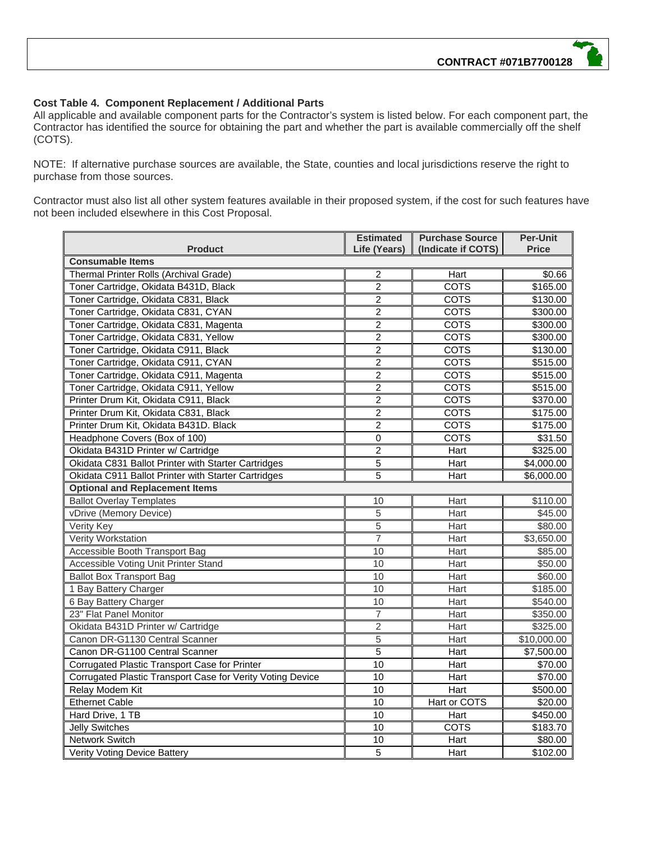## **Cost Table 4. Component Replacement / Additional Parts**

All applicable and available component parts for the Contractor's system is listed below. For each component part, the Contractor has identified the source for obtaining the part and whether the part is available commercially off the shelf (COTS).

NOTE: If alternative purchase sources are available, the State, counties and local jurisdictions reserve the right to purchase from those sources.

Contractor must also list all other system features available in their proposed system, if the cost for such features have not been included elsewhere in this Cost Proposal.

|                                                            | <b>Estimated</b> | <b>Purchase Source</b> | <b>Per-Unit</b> |
|------------------------------------------------------------|------------------|------------------------|-----------------|
| <b>Product</b>                                             | Life (Years)     | (Indicate if COTS)     | <b>Price</b>    |
| <b>Consumable Items</b>                                    |                  |                        |                 |
| Thermal Printer Rolls (Archival Grade)                     | 2                | Hart                   | \$0.66          |
| Toner Cartridge, Okidata B431D, Black                      | $\overline{2}$   | <b>COTS</b>            | \$165.00        |
| Toner Cartridge, Okidata C831, Black                       | $\overline{2}$   | <b>COTS</b>            | \$130.00        |
| Toner Cartridge, Okidata C831, CYAN                        | $\overline{2}$   | <b>COTS</b>            | \$300.00        |
| Toner Cartridge, Okidata C831, Magenta                     | $\overline{2}$   | <b>COTS</b>            | \$300.00        |
| Toner Cartridge, Okidata C831, Yellow                      | $\overline{2}$   | <b>COTS</b>            | \$300.00        |
| Toner Cartridge, Okidata C911, Black                       | $\overline{2}$   | <b>COTS</b>            | \$130.00        |
| Toner Cartridge, Okidata C911, CYAN                        | $\overline{2}$   | <b>COTS</b>            | \$515.00        |
| Toner Cartridge, Okidata C911, Magenta                     | $\overline{c}$   | <b>COTS</b>            | \$515.00        |
| Toner Cartridge, Okidata C911, Yellow                      | $\overline{2}$   | COTS                   | \$515.00        |
| Printer Drum Kit, Okidata C911, Black                      | $\overline{2}$   | <b>COTS</b>            | \$370.00        |
| Printer Drum Kit, Okidata C831, Black                      | $\overline{2}$   | <b>COTS</b>            | \$175.00        |
| Printer Drum Kit, Okidata B431D. Black                     | $\overline{2}$   | <b>COTS</b>            | \$175.00        |
| Headphone Covers (Box of 100)                              | 0                | <b>COTS</b>            | \$31.50         |
| Okidata B431D Printer w/ Cartridge                         | $\overline{2}$   | Hart                   | \$325.00        |
| Okidata C831 Ballot Printer with Starter Cartridges        | 5                | Hart                   | \$4,000.00      |
| Okidata C911 Ballot Printer with Starter Cartridges        | 5                | Hart                   | \$6,000.00      |
| <b>Optional and Replacement Items</b>                      |                  |                        |                 |
| <b>Ballot Overlay Templates</b>                            | 10               | Hart                   | \$110.00        |
| vDrive (Memory Device)                                     | 5                | Hart                   | \$45.00         |
| Verity Key                                                 | 5                | Hart                   | \$80.00         |
| Verity Workstation                                         | $\overline{7}$   | Hart                   | \$3,650.00      |
| Accessible Booth Transport Bag                             | 10               | Hart                   | \$85.00         |
| Accessible Voting Unit Printer Stand                       | 10               | <b>Hart</b>            | \$50.00         |
| <b>Ballot Box Transport Bag</b>                            | 10               | Hart                   | \$60.00         |
| 1 Bay Battery Charger                                      | 10               | <b>Hart</b>            | \$185.00        |
| 6 Bay Battery Charger                                      | 10               | Hart                   | \$540.00        |
| 23" Flat Panel Monitor                                     | $\overline{7}$   | Hart                   | \$350.00        |
| Okidata B431D Printer w/ Cartridge                         | $\overline{2}$   | Hart                   | \$325.00        |
| Canon DR-G1130 Central Scanner                             | 5                | Hart                   | \$10,000.00     |
| Canon DR-G1100 Central Scanner                             | $\overline{5}$   | Hart                   | \$7,500.00      |
| Corrugated Plastic Transport Case for Printer              | $\overline{10}$  | Hart                   | \$70.00         |
| Corrugated Plastic Transport Case for Verity Voting Device | 10               | <b>Hart</b>            | \$70.00         |
| Relay Modem Kit                                            | $\overline{10}$  | <b>Hart</b>            | \$500.00        |
| <b>Ethernet Cable</b>                                      | $\overline{10}$  | Hart or COTS           | \$20.00         |
| Hard Drive, 1 TB                                           | 10               | Hart                   | \$450.00        |
| Jelly Switches                                             | 10               | <b>COTS</b>            | \$183.70        |
| Network Switch                                             | 10               | Hart                   | \$80.00         |
| Verity Voting Device Battery                               | $\overline{5}$   | Hart                   | \$102.00        |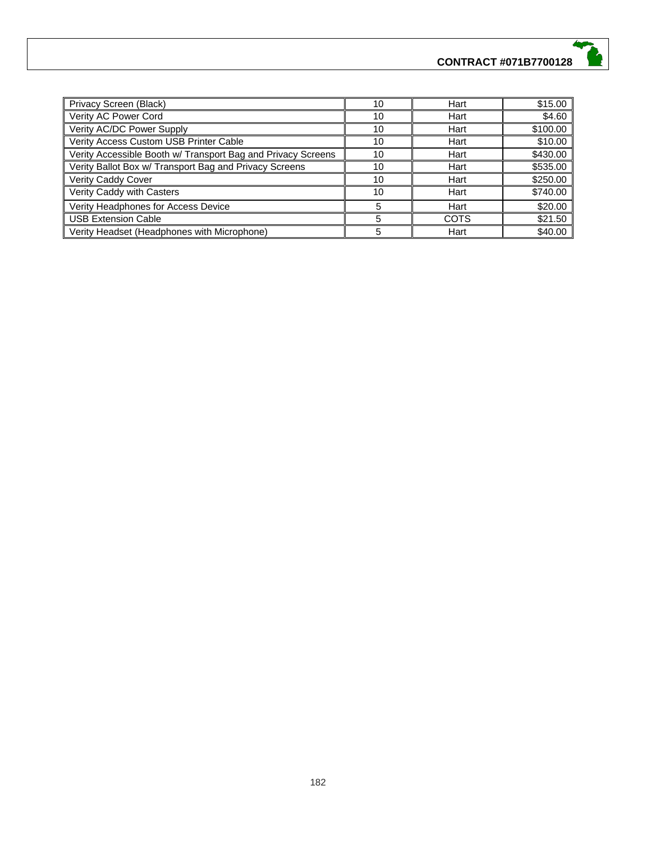| Privacy Screen (Black)                                       | 10 | Hart        | \$15.00  |
|--------------------------------------------------------------|----|-------------|----------|
| Verity AC Power Cord                                         | 10 | Hart        | \$4.60   |
| Verity AC/DC Power Supply                                    | 10 | Hart        | \$100.00 |
| Verity Access Custom USB Printer Cable                       | 10 | Hart        | \$10.00  |
| Verity Accessible Booth w/ Transport Bag and Privacy Screens | 10 | Hart        | \$430.00 |
| Verity Ballot Box w/ Transport Bag and Privacy Screens       | 10 | Hart        | \$535.00 |
| Verity Caddy Cover                                           | 10 | Hart        | \$250.00 |
| Verity Caddy with Casters                                    | 10 | Hart        | \$740.00 |
| Verity Headphones for Access Device                          | 5  | Hart        | \$20.00  |
| <b>USB Extension Cable</b>                                   | 5  | <b>COTS</b> | \$21.50  |
| Verity Headset (Headphones with Microphone)                  |    | Hart        | \$40.00  |